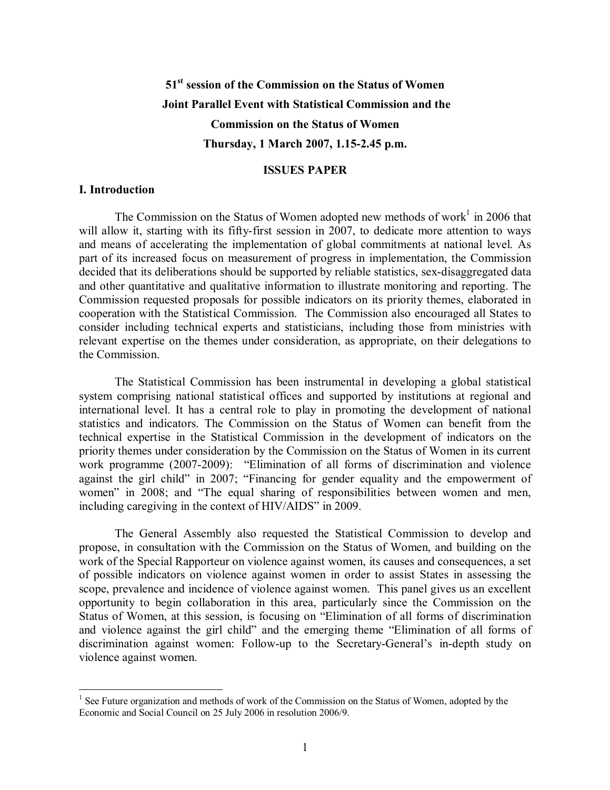# **51 st session of the Commission on the Status of Women Joint Parallel Event with Statistical Commission and the Commission on the Status of Women Thursday, 1 March 2007, 1.152.45 p.m.**

#### **ISSUES PAPER**

### **I. Introduction**

The Commission on the Status of Women adopted new methods of work<sup>1</sup> in 2006 that will allow it, starting with its fifty-first session in 2007, to dedicate more attention to ways and means of accelerating the implementation of global commitments at national level. As part of its increased focus on measurement of progress in implementation, the Commission decided that its deliberations should be supported by reliable statistics, sex-disaggregated data and other quantitative and qualitative information to illustrate monitoring and reporting. The Commission requested proposals for possible indicators on its priority themes, elaborated in cooperation with the Statistical Commission. The Commission also encouraged all States to consider including technical experts and statisticians, including those from ministries with relevant expertise on the themes under consideration, as appropriate, on their delegations to the Commission.

The Statistical Commission has been instrumental in developing a global statistical system comprising national statistical offices and supported by institutions at regional and international level. It has a central role to play in promoting the development of national statistics and indicators. The Commission on the Status of Women can benefit from the technical expertise in the Statistical Commission in the development of indicators on the priority themes under consideration by the Commission on the Status of Women in its current work programme (2007-2009): "Elimination of all forms of discrimination and violence against the girl child" in 2007; "Financing for gender equality and the empowerment of women" in 2008; and "The equal sharing of responsibilities between women and men, including caregiving in the context of HIV/AIDS" in 2009.

The General Assembly also requested the Statistical Commission to develop and propose, in consultation with the Commission on the Status of Women, and building on the work of the Special Rapporteur on violence against women, its causes and consequences, a set of possible indicators on violence against women in order to assist States in assessing the scope, prevalence and incidence of violence against women. This panel gives us an excellent opportunity to begin collaboration in this area, particularly since the Commission on the Status of Women, at this session, is focusing on "Elimination of all forms of discrimination and violence against the girl child" and the emerging theme "Elimination of all forms of discrimination against women: Follow-up to the Secretary-General's in-depth study on violence against women.

<sup>&</sup>lt;sup>1</sup> See Future organization and methods of work of the Commission on the Status of Women, adopted by the Economic and Social Council on 25 July 2006 in resolution 2006/9.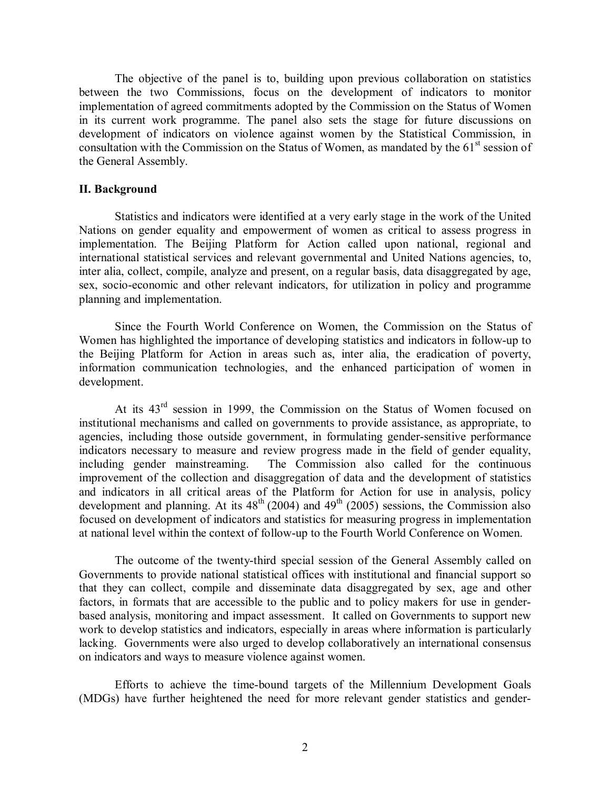The objective of the panel is to, building upon previous collaboration on statistics between the two Commissions, focus on the development of indicators to monitor implementation of agreed commitments adopted by the Commission on the Status of Women in its current work programme. The panel also sets the stage for future discussions on development of indicators on violence against women by the Statistical Commission, in consultation with the Commission on the Status of Women, as mandated by the  $61<sup>st</sup>$  session of the General Assembly.

### **II. Background**

Statistics and indicators were identified at a very early stage in the work of the United Nations on gender equality and empowerment of women as critical to assess progress in implementation. The Beijing Platform for Action called upon national, regional and international statistical services and relevant governmental and United Nations agencies, to, inter alia, collect, compile, analyze and present, on a regular basis, data disaggregated by age, sex, socio-economic and other relevant indicators, for utilization in policy and programme planning and implementation.

Since the Fourth World Conference on Women, the Commission on the Status of Women has highlighted the importance of developing statistics and indicators in follow-up to the Beijing Platform for Action in areas such as, inter alia, the eradication of poverty, information communication technologies, and the enhanced participation of women in development.

At its  $43<sup>rd</sup>$  session in 1999, the Commission on the Status of Women focused on institutional mechanisms and called on governments to provide assistance, as appropriate, to agencies, including those outside government, in formulating gender-sensitive performance indicators necessary to measure and review progress made in the field of gender equality, including gender mainstreaming. The Commission also called for the continuous improvement of the collection and disaggregation of data and the development of statistics and indicators in all critical areas of the Platform for Action for use in analysis, policy development and planning. At its  $48<sup>th</sup>$  (2004) and  $49<sup>th</sup>$  (2005) sessions, the Commission also focused on development of indicators and statistics for measuring progress in implementation at national level within the context of followup to the Fourth World Conference on Women.

The outcome of the twenty-third special session of the General Assembly called on Governments to provide national statistical offices with institutional and financial support so that they can collect, compile and disseminate data disaggregated by sex, age and other factors, in formats that are accessible to the public and to policy makers for use in genderbased analysis, monitoring and impact assessment. It called on Governments to support new work to develop statistics and indicators, especially in areas where information is particularly lacking. Governments were also urged to develop collaboratively an international consensus on indicators and ways to measure violence against women.

Efforts to achieve the timebound targets of the Millennium Development Goals (MDGs) have further heightened the need for more relevant gender statistics and gender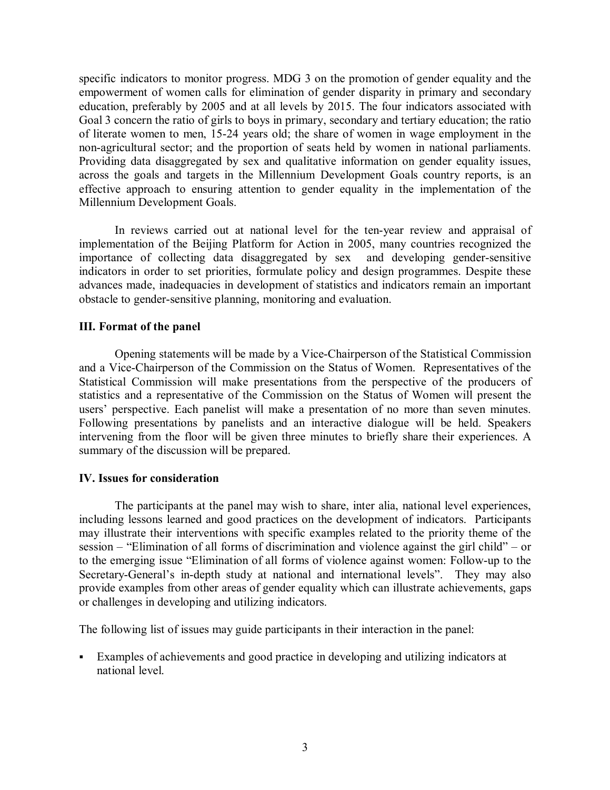specific indicators to monitor progress. MDG 3 on the promotion of gender equality and the empowerment of women calls for elimination of gender disparity in primary and secondary education, preferably by 2005 and at all levels by 2015. The four indicators associated with Goal 3 concern the ratio of girls to boys in primary, secondary and tertiary education; the ratio of literate women to men, 1524 years old; the share of women in wage employment in the non-agricultural sector; and the proportion of seats held by women in national parliaments. Providing data disaggregated by sex and qualitative information on gender equality issues, across the goals and targets in the Millennium Development Goals country reports, is an effective approach to ensuring attention to gender equality in the implementation of the Millennium Development Goals.

In reviews carried out at national level for the ten-year review and appraisal of implementation of the Beijing Platform for Action in 2005, many countries recognized the importance of collecting data disaggregated by sex and developing gender-sensitive indicators in order to set priorities, formulate policy and design programmes. Despite these advances made, inadequacies in development of statistics and indicators remain an important obstacle to gender-sensitive planning, monitoring and evaluation.

## **III. Format of the panel**

Opening statements will be made by a ViceChairperson of the Statistical Commission and a Vice-Chairperson of the Commission on the Status of Women. Representatives of the Statistical Commission will make presentations from the perspective of the producers of statistics and a representative of the Commission on the Status of Women will present the users' perspective. Each panelist will make a presentation of no more than seven minutes. Following presentations by panelists and an interactive dialogue will be held. Speakers intervening from the floor will be given three minutes to briefly share their experiences. A summary of the discussion will be prepared.

## **IV. Issues for consideration**

The participants at the panel may wish to share, inter alia, national level experiences, including lessons learned and good practices on the development of indicators. Participants may illustrate their interventions with specific examples related to the priority theme of the session – "Elimination of all forms of discrimination and violence against the girl child" – or to the emerging issue "Elimination of all forms of violence against women: Follow-up to the Secretary-General's in-depth study at national and international levels". They may also provide examples from other areas of gender equality which can illustrate achievements, gaps or challenges in developing and utilizing indicators.

The following list of issues may guide participants in their interaction in the panel:

ß Examples of achievements and good practice in developing and utilizing indicators at national level.